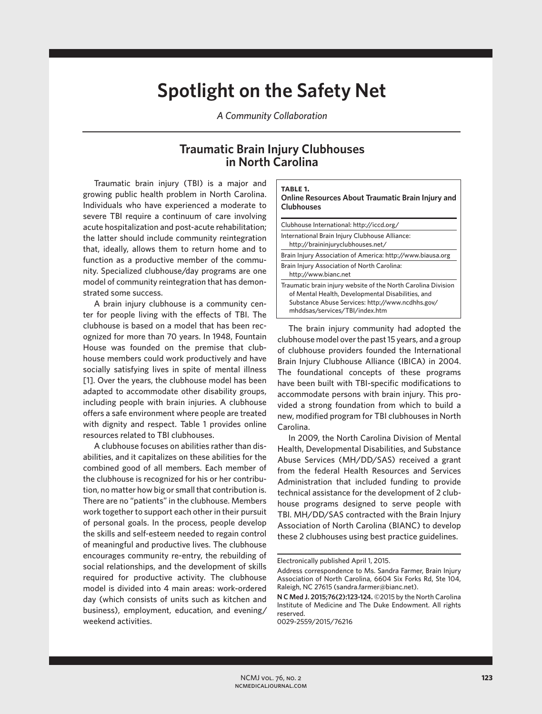## **Spotlight on the Safety Net**

*A Community Collaboration*

## **Traumatic Brain Injury Clubhouses in North Carolina**

Traumatic brain injury (TBI) is a major and growing public health problem in North Carolina. Individuals who have experienced a moderate to severe TBI require a continuum of care involving acute hospitalization and post-acute rehabilitation; the latter should include community reintegration that, ideally, allows them to return home and to function as a productive member of the community. Specialized clubhouse/day programs are one model of community reintegration that has demonstrated some success.

A brain injury clubhouse is a community center for people living with the effects of TBI. The clubhouse is based on a model that has been recognized for more than 70 years. In 1948, Fountain House was founded on the premise that clubhouse members could work productively and have socially satisfying lives in spite of mental illness [1]. Over the years, the clubhouse model has been adapted to accommodate other disability groups, including people with brain injuries. A clubhouse offers a safe environment where people are treated with dignity and respect. Table 1 provides online resources related to TBI clubhouses.

A clubhouse focuses on abilities rather than disabilities, and it capitalizes on these abilities for the combined good of all members. Each member of the clubhouse is recognized for his or her contribution, no matter how big or small that contribution is. There are no "patients" in the clubhouse. Members work together to support each other in their pursuit of personal goals. In the process, people develop the skills and self-esteem needed to regain control of meaningful and productive lives. The clubhouse encourages community re-entry, the rebuilding of social relationships, and the development of skills required for productive activity. The clubhouse model is divided into 4 main areas: work-ordered day (which consists of units such as kitchen and business), employment, education, and evening/ weekend activities.

| TABLE 1.<br><b>Online Resources About Traumatic Brain Injury and</b><br><b>Clubhouses</b>                                                                                                                |  |
|----------------------------------------------------------------------------------------------------------------------------------------------------------------------------------------------------------|--|
| Clubhouse International: http://iccd.org/                                                                                                                                                                |  |
| International Brain Injury Clubhouse Alliance:<br>http://braininjuryclubhouses.net/                                                                                                                      |  |
| Brain Injury Association of America: http://www.biausa.org                                                                                                                                               |  |
| Brain Injury Association of North Carolina:<br>http://www.bianc.net                                                                                                                                      |  |
| Traumatic brain injury website of the North Carolina Division<br>of Mental Health, Developmental Disabilities, and<br>Substance Abuse Services: http://www.ncdhhs.gov/<br>mhddsas/services/TBI/index.htm |  |

The brain injury community had adopted the clubhouse model over the past 15 years, and a group of clubhouse providers founded the International Brain Injury Clubhouse Alliance (IBICA) in 2004. The foundational concepts of these programs have been built with TBI-specific modifications to accommodate persons with brain injury. This provided a strong foundation from which to build a new, modified program for TBI clubhouses in North Carolina.

In 2009, the North Carolina Division of Mental Health, Developmental Disabilities, and Substance Abuse Services (MH/DD/SAS) received a grant from the federal Health Resources and Services Administration that included funding to provide technical assistance for the development of 2 clubhouse programs designed to serve people with TBI. MH/DD/SAS contracted with the Brain Injury Association of North Carolina (BIANC) to develop these 2 clubhouses using best practice guidelines.

Electronically published April 1, 2015.

Address correspondence to Ms. Sandra Farmer, Brain Injury Association of North Carolina, 6604 Six Forks Rd, Ste 104, Raleigh, NC 27615 (sandra.farmer@bianc.net).

**N C Med J. 2015;76(2):123-124.** ©2015 by the North Carolina Institute of Medicine and The Duke Endowment. All rights reserved.

<sup>0029-2559/2015/76216</sup>